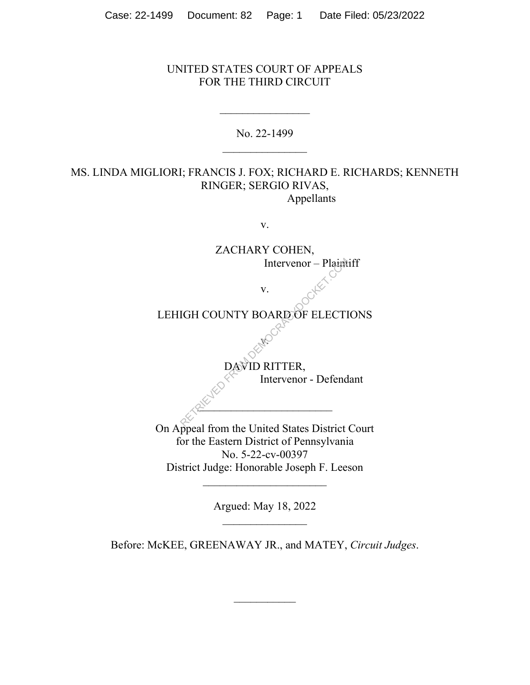## UNITED STATES COURT OF APPEALS FOR THE THIRD CIRCUIT

No. 22-1499

## MS. LINDA MIGLIORI; FRANCIS J. FOX; RICHARD E. RICHARDS; KENNETH RINGER; SERGIO RIVAS, Appellants

v.

ZACHARY COHEN, Intervenor – Plaintiff v. LEHIGH COUNTY BOARD OF ELECTIONS v. DAVID RITTER, Intervenor - Defendant  $2^{\mathcal{N}}$ On Appeal from the United States District Court for the Eastern District of Pennsylvania No. 5-22-cv-00397 District Judge: Honorable Joseph F. Leeson  $\overline{\phantom{a}}$  , where  $\overline{\phantom{a}}$ Intervenor – Plaint

Argued: May 18, 2022

Before: McKEE, GREENAWAY JR., and MATEY, *Circuit Judges*.

 $\mathcal{L}_\text{max}$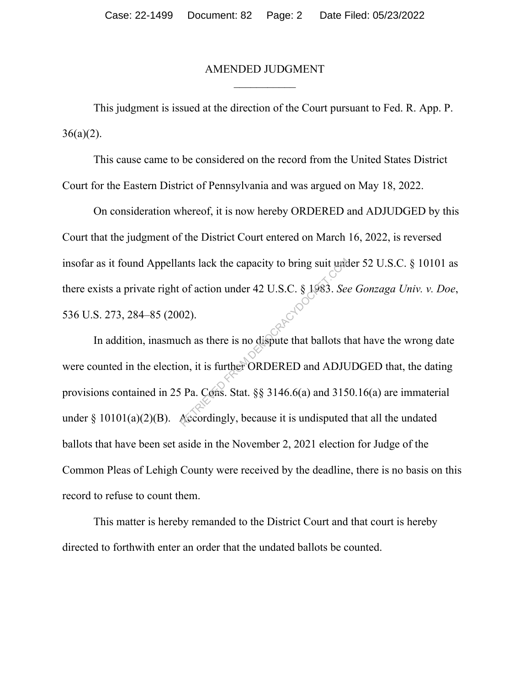## AMENDED JUDGMENT

This judgment is issued at the direction of the Court pursuant to Fed. R. App. P.  $36(a)(2)$ .

This cause came to be considered on the record from the United States District Court for the Eastern District of Pennsylvania and was argued on May 18, 2022.

On consideration whereof, it is now hereby ORDERED and ADJUDGED by this Court that the judgment of the District Court entered on March 16, 2022, is reversed insofar as it found Appellants lack the capacity to bring suit under 52 U.S.C. § 10101 as there exists a private right of action under 42 U.S.C. § 1983. *See Gonzaga Univ. v. Doe*, 536 U.S. 273, 284–85 (2002).

In addition, inasmuch as there is no dispute that ballots that have the wrong date were counted in the election, it is further ORDERED and ADJUDGED that, the dating provisions contained in 25 Pa. Cons. Stat. §§ 3146.6(a) and 3150.16(a) are immaterial under  $\S 10101(a)(2)(B)$ . Accordingly, because it is undisputed that all the undated ballots that have been set aside in the November 2, 2021 election for Judge of the Common Pleas of Lehigh County were received by the deadline, there is no basis on this record to refuse to count them. FROM THE RETRIEVED AND THE RETRIEVED AND THE RETRIEVED AS A SEA Also set of the state is no dispute that ballots that ballots the pair of the SNDERED and ADJU is Pa. Comp. Stat. §§ 3146.6(a) and 315 Accordingly, because i

This matter is hereby remanded to the District Court and that court is hereby directed to forthwith enter an order that the undated ballots be counted.